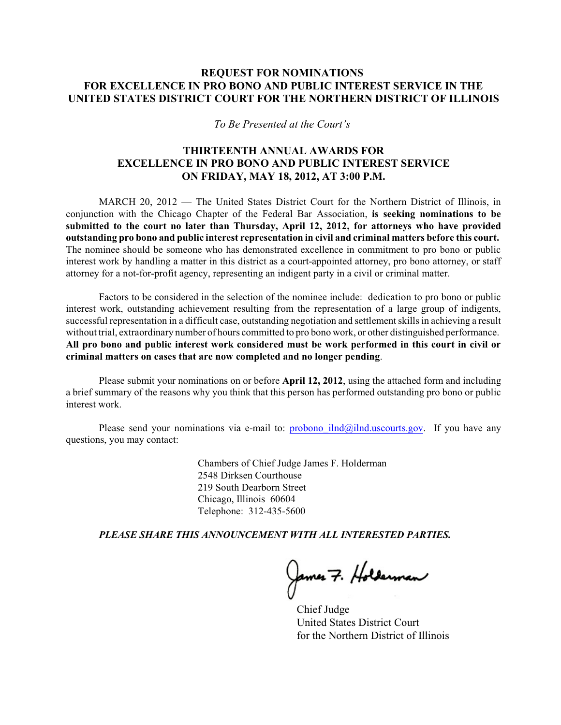## **REQUEST FOR NOMINATIONS FOR EXCELLENCE IN PRO BONO AND PUBLIC INTEREST SERVICE IN THE UNITED STATES DISTRICT COURT FOR THE NORTHERN DISTRICT OF ILLINOIS**

*To Be Presented at the Court's* 

## **THIRTEENTH ANNUAL AWARDS FOR EXCELLENCE IN PRO BONO AND PUBLIC INTEREST SERVICE ON FRIDAY, MAY 18, 2012, AT 3:00 P.M.**

MARCH 20, 2012 — The United States District Court for the Northern District of Illinois, in conjunction with the Chicago Chapter of the Federal Bar Association, **is seeking nominations to be submitted to the court no later than Thursday, April 12, 2012, for attorneys who have provided outstanding pro bono and public interest representation in civil and criminal matters before this court.** The nominee should be someone who has demonstrated excellence in commitment to pro bono or public interest work by handling a matter in this district as a court-appointed attorney, pro bono attorney, or staff attorney for a not-for-profit agency, representing an indigent party in a civil or criminal matter.

Factors to be considered in the selection of the nominee include: dedication to pro bono or public interest work, outstanding achievement resulting from the representation of a large group of indigents, successful representation in a difficult case, outstanding negotiation and settlement skills in achieving a result without trial, extraordinary number of hours committed to pro bono work, or other distinguished performance. **All pro bono and public interest work considered must be work performed in this court in civil or criminal matters on cases that are now completed and no longer pending**.

Please submit your nominations on or before **April 12, 2012**, using the attached form and including a brief summary of the reasons why you think that this person has performed outstanding pro bono or public interest work.

Please send your nominations via e-mail to: probono  $iln d@iln d.uscourts.gov$ . If you have any questions, you may contact:

> Chambers of Chief Judge James F. Holderman 2548 Dirksen Courthouse 219 South Dearborn Street Chicago, Illinois 60604 Telephone: 312-435-5600

*PLEASE SHARE THIS ANNOUNCEMENT WITH ALL INTERESTED PARTIES.*

James 7. Holderman

Chief Judge United States District Court for the Northern District of Illinois